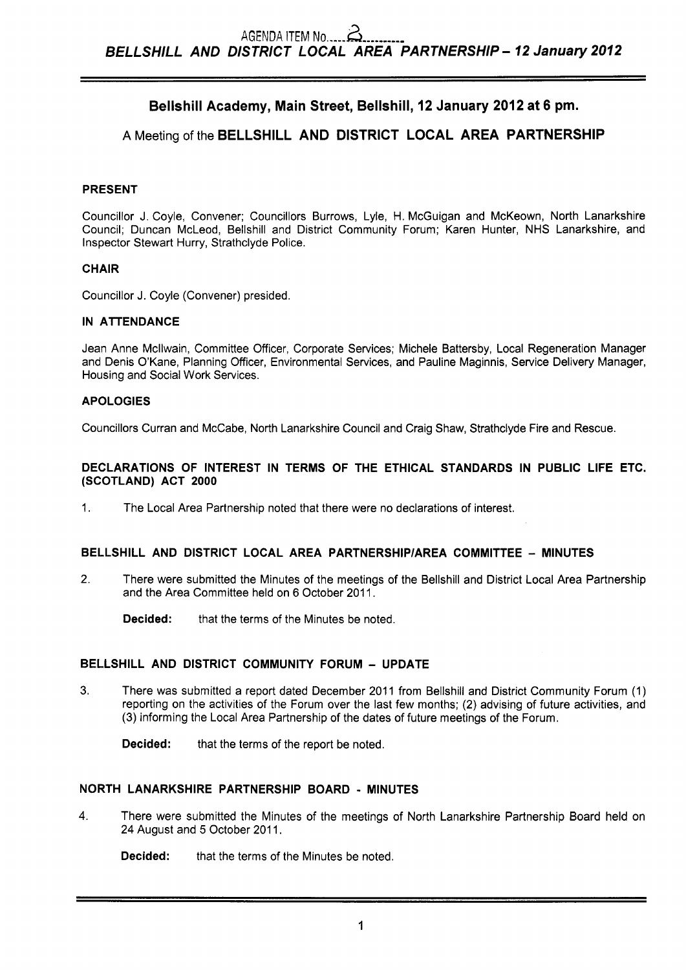# **Bellshill Academy, Main Street, Bellshill, 12 January 2012 at 6 pm.**

# **A** Meeting of the **BELLSHILL AND DISTRICT LOCAL AREA PARTNERSHIP**

### **PRESENT**

Councillor J. Coyle, Convener; Councillors Burrows, Lyle, H. McGuigan and McKeown, North Lanarkshire Council; Duncan McLeod, Bellshill and District Community Forum; Karen Hunter, NHS Lanarkshire, and Inspector Stewart Hurry, Strathclyde Police.

### **CHAIR**

Councillor J. Coyle (Convener) presided.

### **IN ATTENDANCE**

Jean Anne Mcllwain, Committee Officer, Corporate Services; Michele Battersby, Local Regeneration Manager and Denis O'Kane, Planning Officer, Environmental Services, and Pauline Maginnis, Service Delivery Manager, Housing and Social Work Services.

### **APOLOGIES**

Councillors Curran and McCabe, North Lanarkshire Council and Craig Shaw, Strathclyde Fire and Rescue.

### **DECLARATIONS OF INTEREST IN TERMS OF THE ETHICAL STANDARDS IN PUBLIC LIFE ETC. (SCOTLAND) ACT 2000**

1. The Local Area Partnership noted that there were no declarations of interest.

### **BELLSHILL AND DISTRICT LOCAL AREA PARTNERSHIP/AREA COMMITTEE - MINUTES**

2. There were submitted the Minutes of the meetings of the Bellshill and District Local Area Partnership and the Area Committee held on 6 October 2011.

**Decided:** that the terms of the Minutes be noted.

### **BELLSHILL AND DISTRICT COMMUNITY FORUM** - **UPDATE**

**3.** There was submitted a report dated December 2011 from Bellshill and District Community Forum (1) reporting on the activities of the Forum over the last few months; **(2)** advising of future activities, and (3) informing the Local Area Partnership of the dates of future meetings of the Forum.

**Decided:** that the terms of the report be noted.

### **NORTH LANARKSHIRE PARTNERSHIP BOARD** - **MINUTES**

**4.** There were submitted the Minutes of the meetings of North Lanarkshire Partnership Board held on 24 August and 5 October 2011.

**Decided:** that the terms of the Minutes be noted.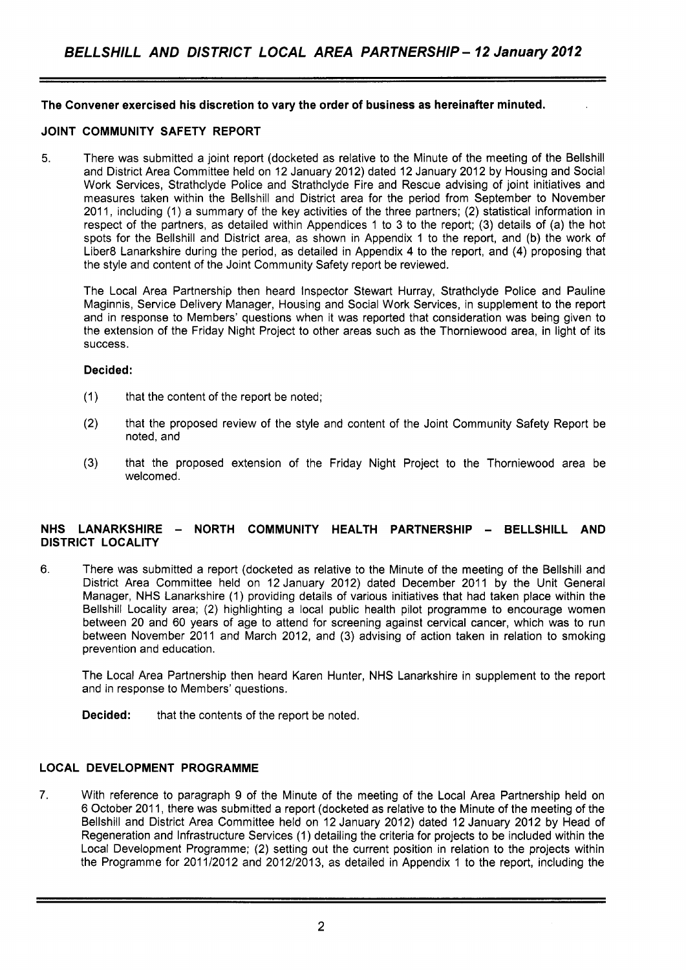### **The Convener exercised his discretion to vary the order of business as hereinafter minuted.**

### **JOINT COMMUNITY SAFETY REPORT**

5. There was submitted a joint report (docketed as relative to the Minute of the meeting of the Bellshill and District Area Committee held on 12 January 2012) dated 12 January 2012 by Housing and Social Work Services, Strathclyde Police and Strathclyde Fire and Rescue advising of joint initiatives and measures taken within the Bellshill and District area for the period from September to November 2011, including (1) a summary of the key activities of the three partners; (2) statistical information in respect of the partners, as detailed within Appendices 1 to 3 to the report; (3) details of (a) the hot spots for the Bellshill and District area, as shown in Appendix 1 to the report, and (b) the work of Liber8 Lanarkshire during the period, as detailed in Appendix 4 to the report, and (4) proposing that the style and content of the Joint Community Safety report be reviewed.

The Local Area Partnership then heard Inspector Stewart Hurray, Strathclyde Police and Pauline Maginnis, Service Delivery Manager, Housing and Social Work Services, in supplement to the report and in response to Members' questions when it was reported that consideration was being given to the extension of the Friday Night Project to other areas such as the Thorniewood area, in light of its success.

#### **Decided:**

- (1) that the content of the report be noted;
- (2) that the proposed review of the style and content of the Joint Community Safety Report be noted, and
- (3) that the proposed extension of the Friday Night Project to the Thorniewood area be welcomed.

### **NHS LANARKSHIRE** - **NORTH COMMUNITY HEALTH PARTNERSHIP** - **BELLSHILL AND DISTRICT LOCALITY**

6. There was submitted a report (docketed as relative to the Minute of the meeting of the Bellshill and District Area Committee held on 12 January 2012) dated December 2011 by the Unit General Manager, NHS Lanarkshire (1) providing details of various initiatives that had taken place within the Bellshill Locality area; (2) highlighting a local public health pilot programme to encourage women between 20 and 60 years of age to attend for screening against cervical cancer, which was to run between November 2011 and March 2012, and (3) advising of action taken in relation to smoking prevention and education.

The Local Area Partnership then heard Karen Hunter, NHS Lanarkshire in supplement to the report and in response to Members' questions.

**Decided:** that the contents of the report be noted.

## **LOCAL DEVELOPMENT PROGRAMME**

7. With reference to paragraph 9 of the Minute of the meeting of the Local Area Partnership held on 6 October 201 1, there was submitted a report (docketed as relative to the Minute of the meeting of the Bellshill and District Area Committee held on 12 January 2012) dated 12 January 2012 by Head of Regeneration and Infrastructure Services (1) detailing the criteria for projects to be included within the Local Development Programme; (2) setting out the current position in relation to the projects within the Programme for 2011/2012 and 2012/2013, as detailed in Appendix 1 to the report, including the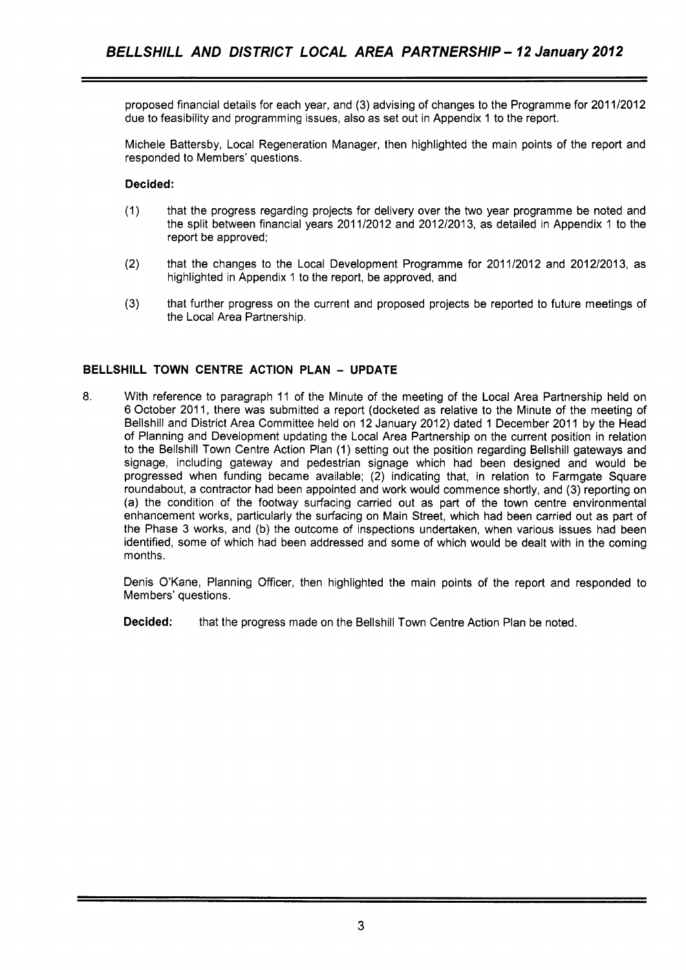proposed financial details for each year, and (3) advising of changes to the Programme for 201 1/2012 due to feasibility and programming issues, also as set out in Appendix 1 to the report.

Michele Battersby, Local Regeneration Manager, then highlighted the main points of the report and responded to Members' questions.

### **Decided:**

- (1) that the progress regarding projects for delivery over the two year programme be noted and the split between financial years 2011/2012 and 2012/2013, as detailed in Appendix 1 to the report be approved;
- (2) that the changes to the Local Development Programme for 2011/2012 and 2012/2013, as highlighted in Appendix 1 to the report, be approved, and
- **(3)** that further progress on the current and proposed projects be reported to future meetings of the Local Area Partnership.

## **BELLSHILL TOWN CENTRE ACTION PLAN** - **UPDATE**

**8.** With reference to paragraph 11 of the Minute of the meeting of the Local Area Partnership held on 6 October 2011, there was submitted a report (docketed as relative to the Minute of the meeting of Bellshill and District Area Committee held on 12 January 2012) dated 1 December 2011 by the Head of Planning and Development updating the Local Area Partnership on the current position in relation to the Bellshill Town Centre Action Plan (1) setting out the position regarding Bellshill gateways and signage, including gateway and pedestrian signage which had been designed and would be progressed when funding became available; (2) indicating that, in relation to Farmgate Square roundabout, a contractor had been appointed and work would commence shortly, and (3) reporting on (a) the condition of the footway surfacing carried out as part of the town centre environmental enhancement works, particularly the surfacing on Main Street, which had been carried out as part of the Phase 3 works, and (b) the outcome of inspections undertaken, when various issues had been identified, some of which had been addressed and some of which would be dealt with in the coming months.

Denis O'Kane, Planning Officer, then highlighted the main points of the report and responded to Members' questions.

**Decided:** that the progress made on the Bellshill Town Centre Action Plan be noted.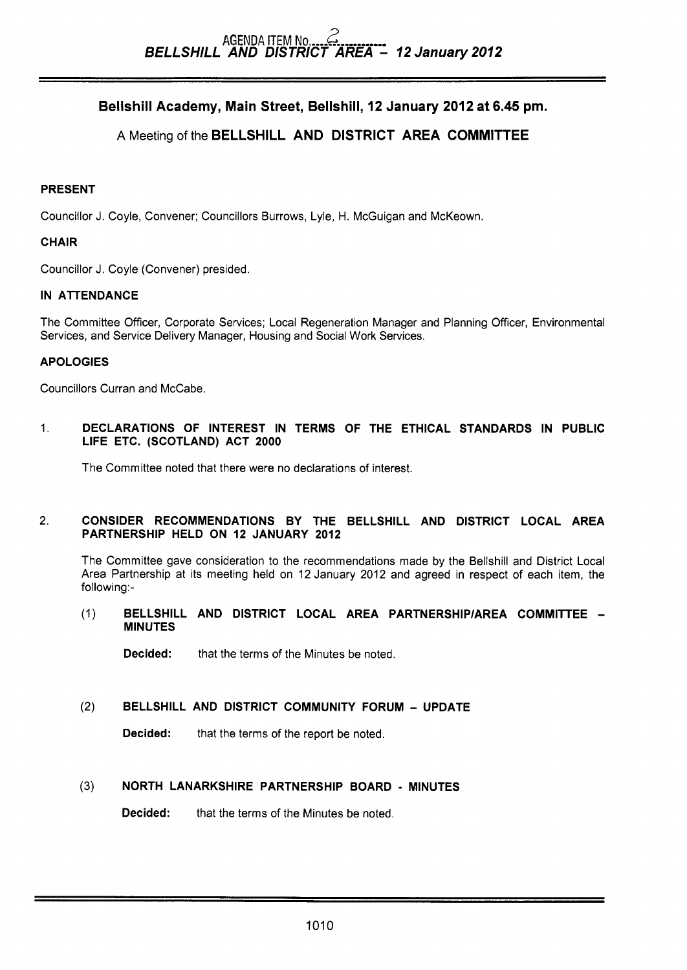# AGENDA ITEM **No** ,---- Z ..-...-.--- *BELLSHILL AND DISTRICT AREA* - *12 January2012*

# Bellshill Academy, Main Street, Bellshill, **12** January **2012** at 6.45 **pm.**

## A Meeting of the BELLSHILL AND DISTRICT AREA COMMITTEE

### PRESENT

Councillor J. Coyle, Convener; Councillors Burrows, Lyle, H. McGuigan and McKeown.

## **CHAIR**

Councillor J. Coyle (Convener) presided.

## IN ATTENDANCE

The Committee Officer, Corporate Services; Local Regeneration Manager and Planning Officer, Environmental Services, and Service Delivery Manager, Housing and Social Work Services.

## APOLOGIES

Councillors Curran and McCabe.

1. DECLARATIONS OF INTEREST IN TERMS OF THE ETHICAL STANDARDS IN PUBLIC LIFE ETC. (SCOTLAND) ACT 2000

The Committee noted that there were no declarations of interest.

## 2. CONSIDER RECOMMENDATIONS BY THE BELLSHILL AND DISTRICT LOCAL AREA PARTNERSHIP HELD ON 12 JANUARY 2012

The Committee gave consideration to the recommendations made by the Bellshill and District Local Area Partnership at its meeting held on 12 January 2012 and agreed in respect of each item, the following:-

(1) BELLSHILL AND DISTRICT LOCAL AREA PARTNERSHlPlAREA COMMITTEE - MINUTES

**Decided:** that the terms of the Minutes be noted.

(2) BELLSHILL AND DISTRICT COMMUNITY FORUM - UPDATE

Decided: that the terms of the report be noted.

## **(3)** NORTH LANARKSHIRE PARTNERSHIP BOARD - MINUTES

**Decided:** that the terms of the Minutes be noted.